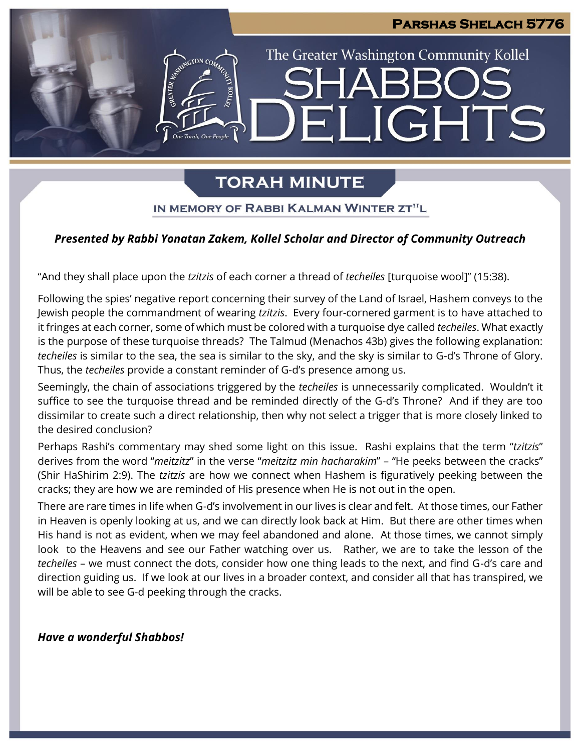# **Parshas Shelach 5776** The Greater Washington Community Kollel **JGHTS**  $\mathbf{H}$

### **TORAH MINUTE**

IN MEMORY OF RABBI KALMAN WINTER ZT"L

### *Presented by Rabbi Yonatan Zakem, Kollel Scholar and Director of Community Outreach*

"And they shall place upon the *tzitzis* of each corner a thread of *techeiles* [turquoise wool]" (15:38).

Following the spies' negative report concerning their survey of the Land of Israel, Hashem conveys to the Jewish people the commandment of wearing *tzitzis*. Every four-cornered garment is to have attached to it fringes at each corner, some of which must be colored with a turquoise dye called *techeiles*. What exactly is the purpose of these turquoise threads? The Talmud (Menachos 43b) gives the following explanation: *techeiles* is similar to the sea, the sea is similar to the sky, and the sky is similar to G-d's Throne of Glory. Thus, the *techeiles* provide a constant reminder of G-d's presence among us.

Seemingly, the chain of associations triggered by the *techeiles* is unnecessarily complicated. Wouldn't it suffice to see the turquoise thread and be reminded directly of the G-d's Throne? And if they are too dissimilar to create such a direct relationship, then why not select a trigger that is more closely linked to the desired conclusion?

Perhaps Rashi's commentary may shed some light on this issue. Rashi explains that the term "*tzitzis*" derives from the word "*meitzitz*" in the verse "*meitzitz min hacharakim*" – "He peeks between the cracks" (Shir HaShirim 2:9). The *tzitzis* are how we connect when Hashem is figuratively peeking between the cracks; they are how we are reminded of His presence when He is not out in the open.

There are rare times in life when G-d's involvement in our lives is clear and felt. At those times, our Father in Heaven is openly looking at us, and we can directly look back at Him. But there are other times when His hand is not as evident, when we may feel abandoned and alone. At those times, we cannot simply look to the Heavens and see our Father watching over us. Rather, we are to take the lesson of the *techeiles* – we must connect the dots, consider how one thing leads to the next, and find G-d's care and direction guiding us. If we look at our lives in a broader context, and consider all that has transpired, we will be able to see G-d peeking through the cracks.

*Have a wonderful Shabbos!*